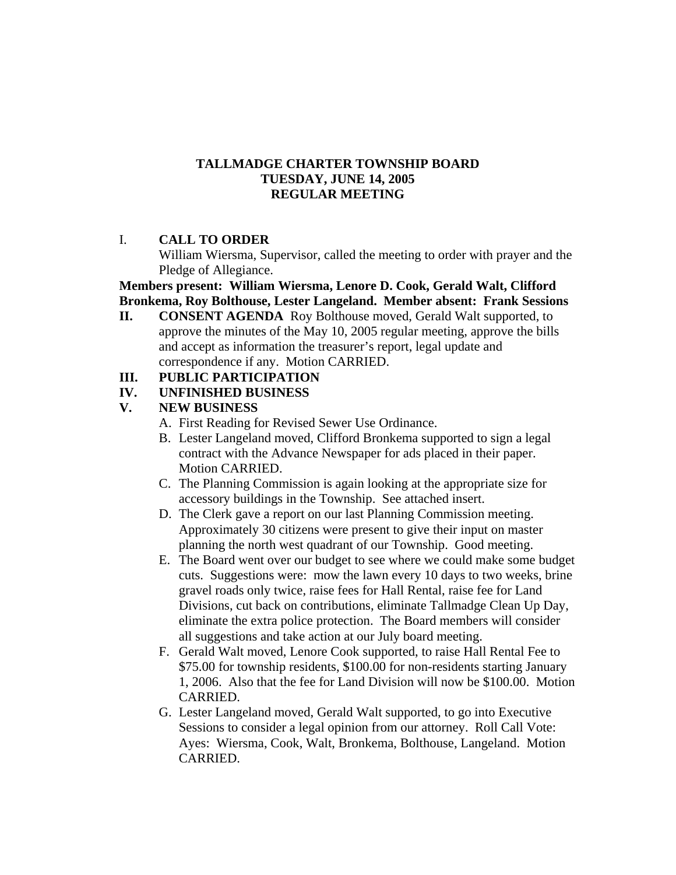### **TALLMADGE CHARTER TOWNSHIP BOARD TUESDAY, JUNE 14, 2005 REGULAR MEETING**

# I. **CALL TO ORDER**

William Wiersma, Supervisor, called the meeting to order with prayer and the Pledge of Allegiance.

### **Members present: William Wiersma, Lenore D. Cook, Gerald Walt, Clifford Bronkema, Roy Bolthouse, Lester Langeland. Member absent: Frank Sessions**

**II. CONSENT AGENDA** Roy Bolthouse moved, Gerald Walt supported, to approve the minutes of the May 10, 2005 regular meeting, approve the bills and accept as information the treasurer's report, legal update and correspondence if any. Motion CARRIED.

# **III. PUBLIC PARTICIPATION**

# **IV. UNFINISHED BUSINESS**

# **V. NEW BUSINESS**

- A. First Reading for Revised Sewer Use Ordinance.
- B. Lester Langeland moved, Clifford Bronkema supported to sign a legal contract with the Advance Newspaper for ads placed in their paper. Motion CARRIED.
- C. The Planning Commission is again looking at the appropriate size for accessory buildings in the Township. See attached insert.
- D. The Clerk gave a report on our last Planning Commission meeting. Approximately 30 citizens were present to give their input on master planning the north west quadrant of our Township. Good meeting.
- E. The Board went over our budget to see where we could make some budget cuts. Suggestions were: mow the lawn every 10 days to two weeks, brine gravel roads only twice, raise fees for Hall Rental, raise fee for Land Divisions, cut back on contributions, eliminate Tallmadge Clean Up Day, eliminate the extra police protection. The Board members will consider all suggestions and take action at our July board meeting.
- F. Gerald Walt moved, Lenore Cook supported, to raise Hall Rental Fee to \$75.00 for township residents, \$100.00 for non-residents starting January 1, 2006. Also that the fee for Land Division will now be \$100.00. Motion CARRIED.
- G. Lester Langeland moved, Gerald Walt supported, to go into Executive Sessions to consider a legal opinion from our attorney. Roll Call Vote: Ayes: Wiersma, Cook, Walt, Bronkema, Bolthouse, Langeland. Motion CARRIED.